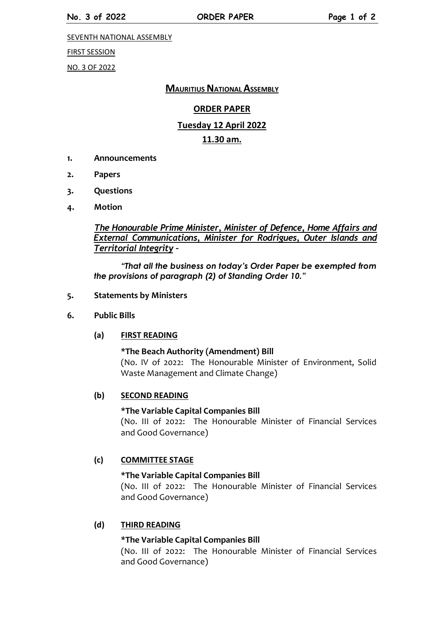SEVENTH NATIONAL ASSEMBLY

FIRST SESSION

NO. 3 OF 2022

# **MAURITIUS NATIONAL ASSEMBLY**

# **ORDER PAPER**

# **Tuesday 12 April 2022**

# **11.30 am.**

- **1. Announcements**
- **2. Papers**
- **3. Questions**
- **4. Motion**

*The Honourable Prime Minister, Minister of Defence, Home Affairs and External Communications, Minister for Rodrigues, Outer Islands and Territorial Integrity –*

*"That all the business on today's Order Paper be exempted from the provisions of paragraph (2) of Standing Order 10."*

#### **5. Statements by Ministers**

**6. Public Bills**

#### **(a) FIRST READING**

**\*The Beach Authority (Amendment) Bill** (No. IV of 2022: The Honourable Minister of Environment, Solid Waste Management and Climate Change)

#### **(b) SECOND READING**

## **\*The Variable Capital Companies Bill**

(No. III of 2022: The Honourable Minister of Financial Services and Good Governance)

#### **(c) COMMITTEE STAGE**

#### **\*The Variable Capital Companies Bill**

(No. III of 2022: The Honourable Minister of Financial Services and Good Governance)

#### **(d) THIRD READING**

## **\*The Variable Capital Companies Bill**

(No. III of 2022: The Honourable Minister of Financial Services and Good Governance)